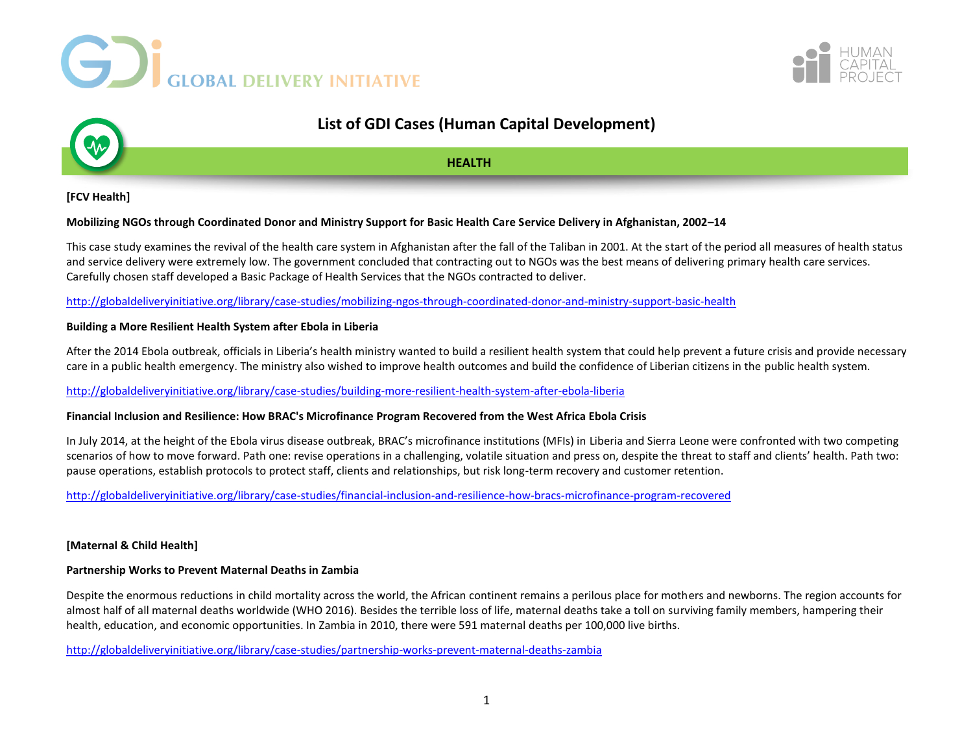





# **List of GDI Cases (Human Capital Development)**

# **HEALTH**

# **[FCV Health]**

## **Mobilizing NGOs through Coordinated Donor and Ministry Support for Basic Health Care Service Delivery in Afghanistan, 2002–14**

This case study examines the revival of the health care system in Afghanistan after the fall of the Taliban in 2001. At the start of the period all measures of health status and service delivery were extremely low. The government concluded that contracting out to NGOs was the best means of delivering primary health care services. Carefully chosen staff developed a Basic Package of Health Services that the NGOs contracted to deliver.

<http://globaldeliveryinitiative.org/library/case-studies/mobilizing-ngos-through-coordinated-donor-and-ministry-support-basic-health>

## **Building a More Resilient Health System after Ebola in Liberia**

After the 2014 Ebola outbreak, officials in Liberia's health ministry wanted to build a resilient health system that could help prevent a future crisis and provide necessary care in a public health emergency. The ministry also wished to improve health outcomes and build the confidence of Liberian citizens in the public health system.

# <http://globaldeliveryinitiative.org/library/case-studies/building-more-resilient-health-system-after-ebola-liberia>

## **Financial Inclusion and Resilience: How BRAC's Microfinance Program Recovered from the West Africa Ebola Crisis**

In July 2014, at the height of the Ebola virus disease outbreak, BRAC's microfinance institutions (MFIs) in Liberia and Sierra Leone were confronted with two competing scenarios of how to move forward. Path one: revise operations in a challenging, volatile situation and press on, despite the threat to staff and clients' health. Path two: pause operations, establish protocols to protect staff, clients and relationships, but risk long-term recovery and customer retention.

<http://globaldeliveryinitiative.org/library/case-studies/financial-inclusion-and-resilience-how-bracs-microfinance-program-recovered>

## **[Maternal & Child Health]**

## **Partnership Works to Prevent Maternal Deaths in Zambia**

Despite the enormous reductions in child mortality across the world, the African continent remains a perilous place for mothers and newborns. The region accounts for almost half of all maternal deaths worldwide (WHO 2016). Besides the terrible loss of life, maternal deaths take a toll on surviving family members, hampering their health, education, and economic opportunities. In Zambia in 2010, there were 591 maternal deaths per 100,000 live births.

<http://globaldeliveryinitiative.org/library/case-studies/partnership-works-prevent-maternal-deaths-zambia>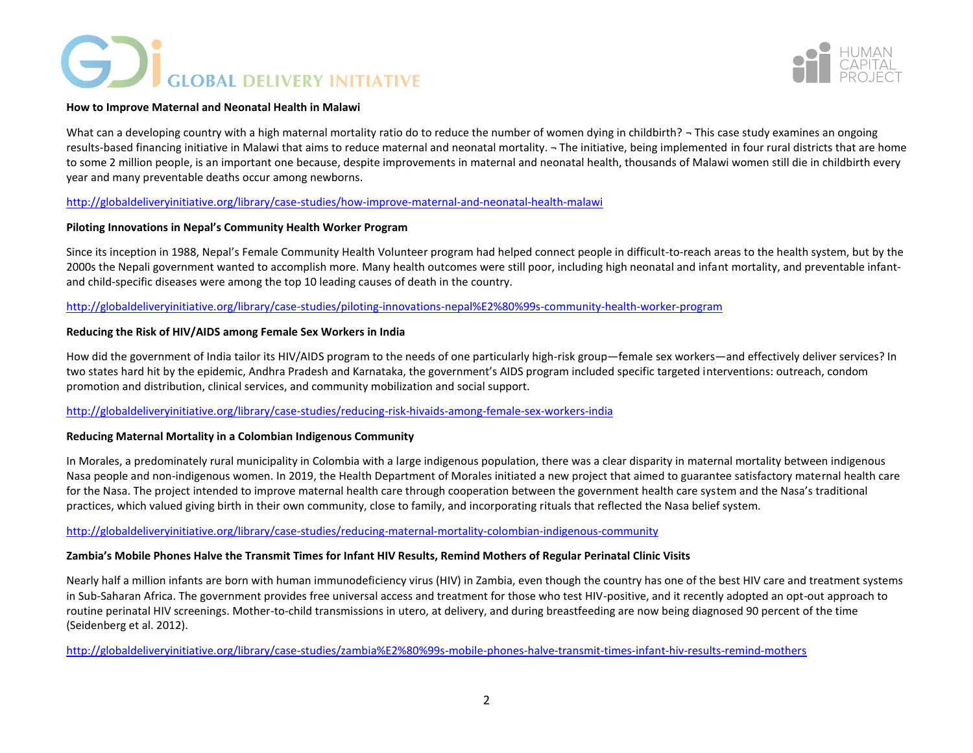# **GD** GLOBAL DELIVERY INITIATIVE



## **How to Improve Maternal and Neonatal Health in Malawi**

What can a developing country with a high maternal mortality ratio do to reduce the number of women dying in childbirth?  $\neg$  This case study examines an ongoing results-based financing initiative in Malawi that aims to reduce maternal and neonatal mortality. ¬ The initiative, being implemented in four rural districts that are home to some 2 million people, is an important one because, despite improvements in maternal and neonatal health, thousands of Malawi women still die in childbirth every year and many preventable deaths occur among newborns.

# <http://globaldeliveryinitiative.org/library/case-studies/how-improve-maternal-and-neonatal-health-malawi>

## **Piloting Innovations in Nepal's Community Health Worker Program**

Since its inception in 1988, Nepal's Female Community Health Volunteer program had helped connect people in difficult-to-reach areas to the health system, but by the 2000s the Nepali government wanted to accomplish more. Many health outcomes were still poor, including high neonatal and infant mortality, and preventable infantand child-specific diseases were among the top 10 leading causes of death in the country.

<http://globaldeliveryinitiative.org/library/case-studies/piloting-innovations-nepal%E2%80%99s-community-health-worker-program>

# **Reducing the Risk of HIV/AIDS among Female Sex Workers in India**

How did the government of India tailor its HIV/AIDS program to the needs of one particularly high-risk group—female sex workers—and effectively deliver services? In two states hard hit by the epidemic, Andhra Pradesh and Karnataka, the government's AIDS program included specific targeted interventions: outreach, condom promotion and distribution, clinical services, and community mobilization and social support.

# <http://globaldeliveryinitiative.org/library/case-studies/reducing-risk-hivaids-among-female-sex-workers-india>

## **Reducing Maternal Mortality in a Colombian Indigenous Community**

In Morales, a predominately rural municipality in Colombia with a large indigenous population, there was a clear disparity in maternal mortality between indigenous Nasa people and non-indigenous women. In 2019, the Health Department of Morales initiated a new project that aimed to guarantee satisfactory maternal health care for the Nasa. The project intended to improve maternal health care through cooperation between the government health care system and the Nasa's traditional practices, which valued giving birth in their own community, close to family, and incorporating rituals that reflected the Nasa belief system.

## <http://globaldeliveryinitiative.org/library/case-studies/reducing-maternal-mortality-colombian-indigenous-community>

# **Zambia's Mobile Phones Halve the Transmit Times for Infant HIV Results, Remind Mothers of Regular Perinatal Clinic Visits**

Nearly half a million infants are born with human immunodeficiency virus (HIV) in Zambia, even though the country has one of the best HIV care and treatment systems in Sub-Saharan Africa. The government provides free universal access and treatment for those who test HIV-positive, and it recently adopted an opt-out approach to routine perinatal HIV screenings. Mother-to-child transmissions in utero, at delivery, and during breastfeeding are now being diagnosed 90 percent of the time (Seidenberg et al. 2012).

<http://globaldeliveryinitiative.org/library/case-studies/zambia%E2%80%99s-mobile-phones-halve-transmit-times-infant-hiv-results-remind-mothers>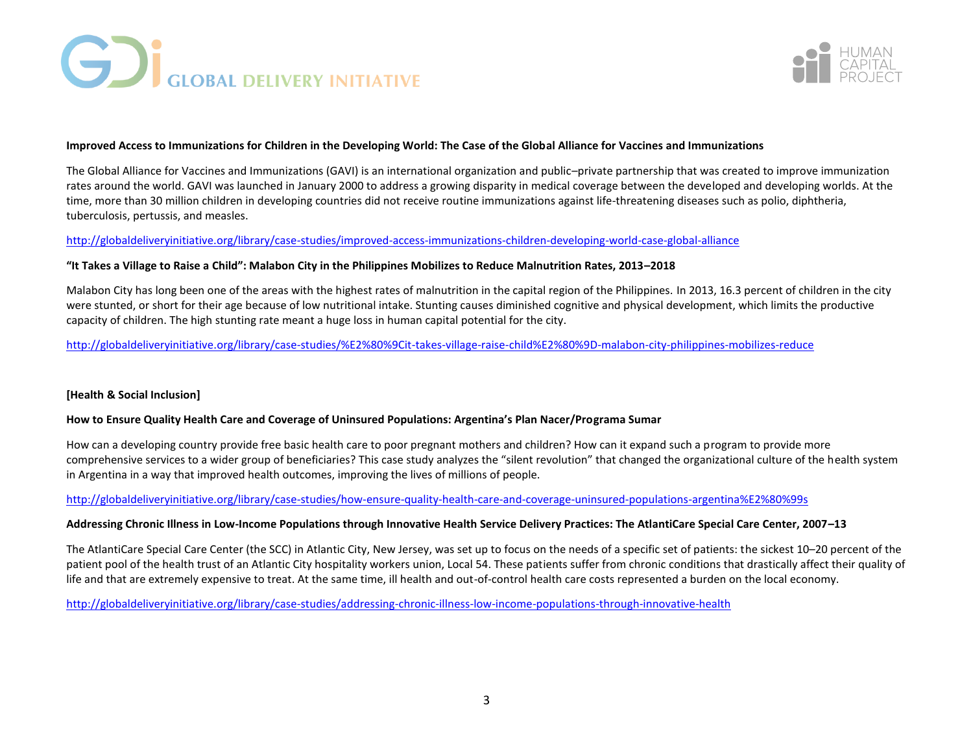



## **Improved Access to Immunizations for Children in the Developing World: The Case of the Global Alliance for Vaccines and Immunizations**

The Global Alliance for Vaccines and Immunizations (GAVI) is an international organization and public–private partnership that was created to improve immunization rates around the world. GAVI was launched in January 2000 to address a growing disparity in medical coverage between the developed and developing worlds. At the time, more than 30 million children in developing countries did not receive routine immunizations against life-threatening diseases such as polio, diphtheria, tuberculosis, pertussis, and measles.

## <http://globaldeliveryinitiative.org/library/case-studies/improved-access-immunizations-children-developing-world-case-global-alliance>

## **"It Takes a Village to Raise a Child": Malabon City in the Philippines Mobilizes to Reduce Malnutrition Rates, 2013–2018**

Malabon City has long been one of the areas with the highest rates of malnutrition in the capital region of the Philippines. In 2013, 16.3 percent of children in the city were stunted, or short for their age because of low nutritional intake. Stunting causes diminished cognitive and physical development, which limits the productive capacity of children. The high stunting rate meant a huge loss in human capital potential for the city.

# <http://globaldeliveryinitiative.org/library/case-studies/%E2%80%9Cit-takes-village-raise-child%E2%80%9D-malabon-city-philippines-mobilizes-reduce>

## **[Health & Social Inclusion]**

## **How to Ensure Quality Health Care and Coverage of Uninsured Populations: Argentina's Plan Nacer/Programa Sumar**

How can a developing country provide free basic health care to poor pregnant mothers and children? How can it expand such a program to provide more comprehensive services to a wider group of beneficiaries? This case study analyzes the "silent revolution" that changed the organizational culture of the health system in Argentina in a way that improved health outcomes, improving the lives of millions of people.

<http://globaldeliveryinitiative.org/library/case-studies/how-ensure-quality-health-care-and-coverage-uninsured-populations-argentina%E2%80%99s>

## **Addressing Chronic Illness in Low-Income Populations through Innovative Health Service Delivery Practices: The AtlantiCare Special Care Center, 2007–13**

The AtlantiCare Special Care Center (the SCC) in Atlantic City, New Jersey, was set up to focus on the needs of a specific set of patients: the sickest 10–20 percent of the patient pool of the health trust of an Atlantic City hospitality workers union, Local 54. These patients suffer from chronic conditions that drastically affect their quality of life and that are extremely expensive to treat. At the same time, ill health and out-of-control health care costs represented a burden on the local economy.

<http://globaldeliveryinitiative.org/library/case-studies/addressing-chronic-illness-low-income-populations-through-innovative-health>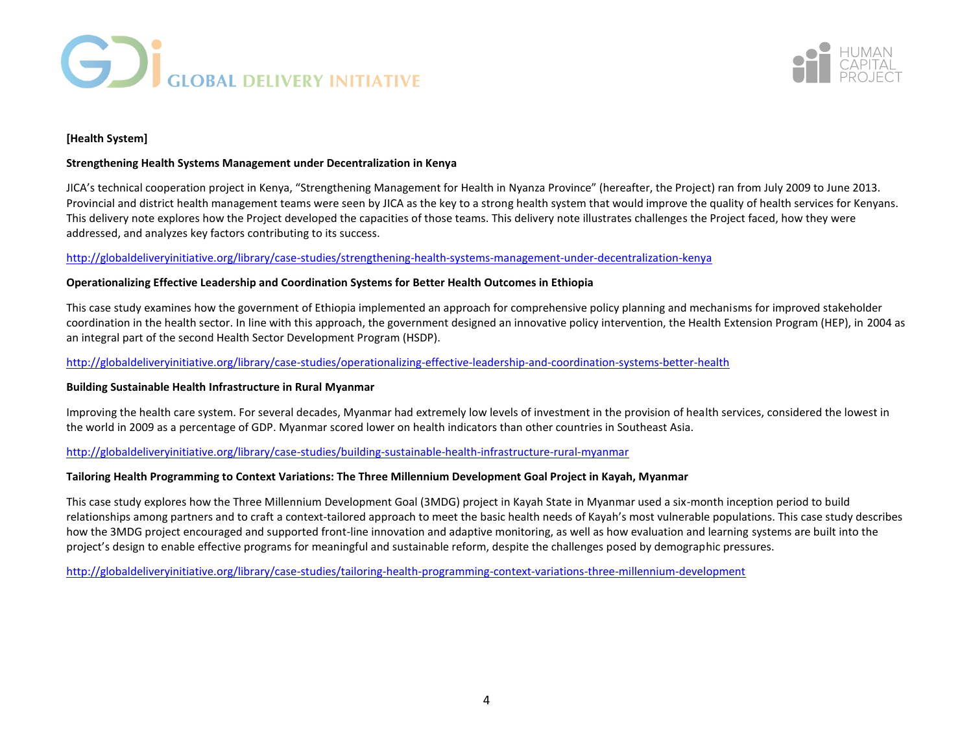



# **[Health System]**

## **Strengthening Health Systems Management under Decentralization in Kenya**

JICA's technical cooperation project in Kenya, "Strengthening Management for Health in Nyanza Province" (hereafter, the Project) ran from July 2009 to June 2013. Provincial and district health management teams were seen by JICA as the key to a strong health system that would improve the quality of health services for Kenyans. This delivery note explores how the Project developed the capacities of those teams. This delivery note illustrates challenges the Project faced, how they were addressed, and analyzes key factors contributing to its success.

# <http://globaldeliveryinitiative.org/library/case-studies/strengthening-health-systems-management-under-decentralization-kenya>

# **Operationalizing Effective Leadership and Coordination Systems for Better Health Outcomes in Ethiopia**

This case study examines how the government of Ethiopia implemented an approach for comprehensive policy planning and mechanisms for improved stakeholder coordination in the health sector. In line with this approach, the government designed an innovative policy intervention, the Health Extension Program (HEP), in 2004 as an integral part of the second Health Sector Development Program (HSDP).

# <http://globaldeliveryinitiative.org/library/case-studies/operationalizing-effective-leadership-and-coordination-systems-better-health>

## **Building Sustainable Health Infrastructure in Rural Myanmar**

Improving the health care system. For several decades, Myanmar had extremely low levels of investment in the provision of health services, considered the lowest in the world in 2009 as a percentage of GDP. Myanmar scored lower on health indicators than other countries in Southeast Asia.

<http://globaldeliveryinitiative.org/library/case-studies/building-sustainable-health-infrastructure-rural-myanmar>

## **Tailoring Health Programming to Context Variations: The Three Millennium Development Goal Project in Kayah, Myanmar**

This case study explores how the Three Millennium Development Goal (3MDG) project in Kayah State in Myanmar used a six-month inception period to build relationships among partners and to craft a context-tailored approach to meet the basic health needs of Kayah's most vulnerable populations. This case study describes how the 3MDG project encouraged and supported front-line innovation and adaptive monitoring, as well as how evaluation and learning systems are built into the project's design to enable effective programs for meaningful and sustainable reform, despite the challenges posed by demographic pressures.

<http://globaldeliveryinitiative.org/library/case-studies/tailoring-health-programming-context-variations-three-millennium-development>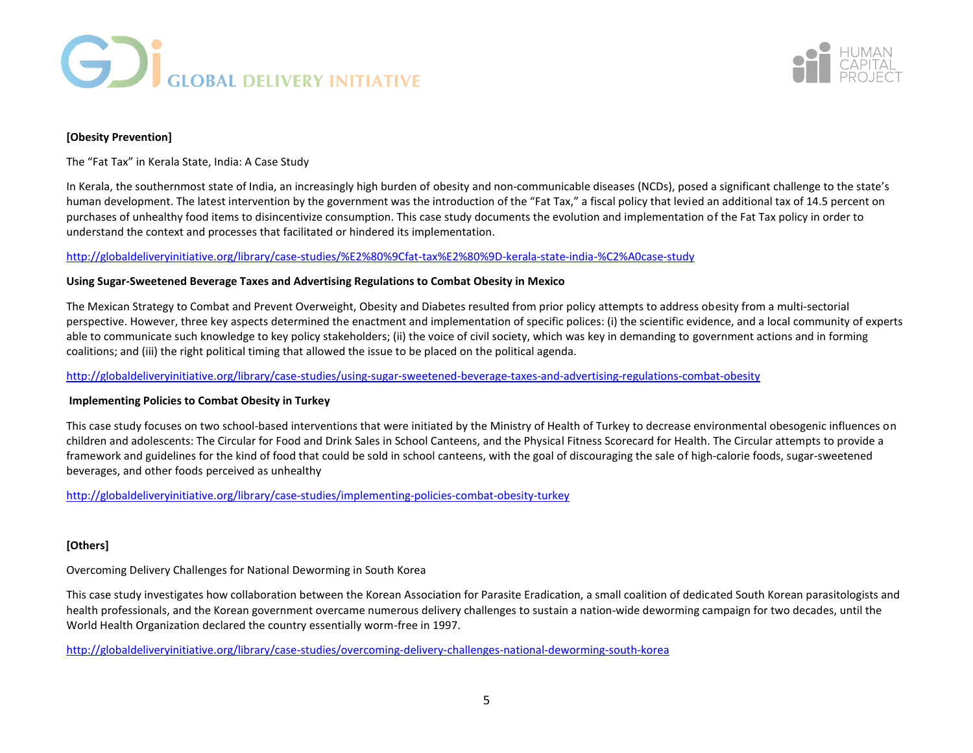



# **[Obesity Prevention]**

The "Fat Tax" in Kerala State, India: A Case Study

In Kerala, the southernmost state of India, an increasingly high burden of obesity and non-communicable diseases (NCDs), posed a significant challenge to the state's human development. The latest intervention by the government was the introduction of the "Fat Tax," a fiscal policy that levied an additional tax of 14.5 percent on purchases of unhealthy food items to disincentivize consumption. This case study documents the evolution and implementation of the Fat Tax policy in order to understand the context and processes that facilitated or hindered its implementation.

## <http://globaldeliveryinitiative.org/library/case-studies/%E2%80%9Cfat-tax%E2%80%9D-kerala-state-india-%C2%A0case-study>

## **Using Sugar-Sweetened Beverage Taxes and Advertising Regulations to Combat Obesity in Mexico**

The Mexican Strategy to Combat and Prevent Overweight, Obesity and Diabetes resulted from prior policy attempts to address obesity from a multi-sectorial perspective. However, three key aspects determined the enactment and implementation of specific polices: (i) the scientific evidence, and a local community of experts able to communicate such knowledge to key policy stakeholders; (ii) the voice of civil society, which was key in demanding to government actions and in forming coalitions; and (iii) the right political timing that allowed the issue to be placed on the political agenda.

<http://globaldeliveryinitiative.org/library/case-studies/using-sugar-sweetened-beverage-taxes-and-advertising-regulations-combat-obesity>

## **Implementing Policies to Combat Obesity in Turkey**

This case study focuses on two school-based interventions that were initiated by the Ministry of Health of Turkey to decrease environmental obesogenic influences on children and adolescents: The Circular for Food and Drink Sales in School Canteens, and the Physical Fitness Scorecard for Health. The Circular attempts to provide a framework and guidelines for the kind of food that could be sold in school canteens, with the goal of discouraging the sale of high-calorie foods, sugar-sweetened beverages, and other foods perceived as unhealthy

<http://globaldeliveryinitiative.org/library/case-studies/implementing-policies-combat-obesity-turkey>

## **[Others]**

Overcoming Delivery Challenges for National Deworming in South Korea

This case study investigates how collaboration between the Korean Association for Parasite Eradication, a small coalition of dedicated South Korean parasitologists and health professionals, and the Korean government overcame numerous delivery challenges to sustain a nation-wide deworming campaign for two decades, until the World Health Organization declared the country essentially worm-free in 1997.

<http://globaldeliveryinitiative.org/library/case-studies/overcoming-delivery-challenges-national-deworming-south-korea>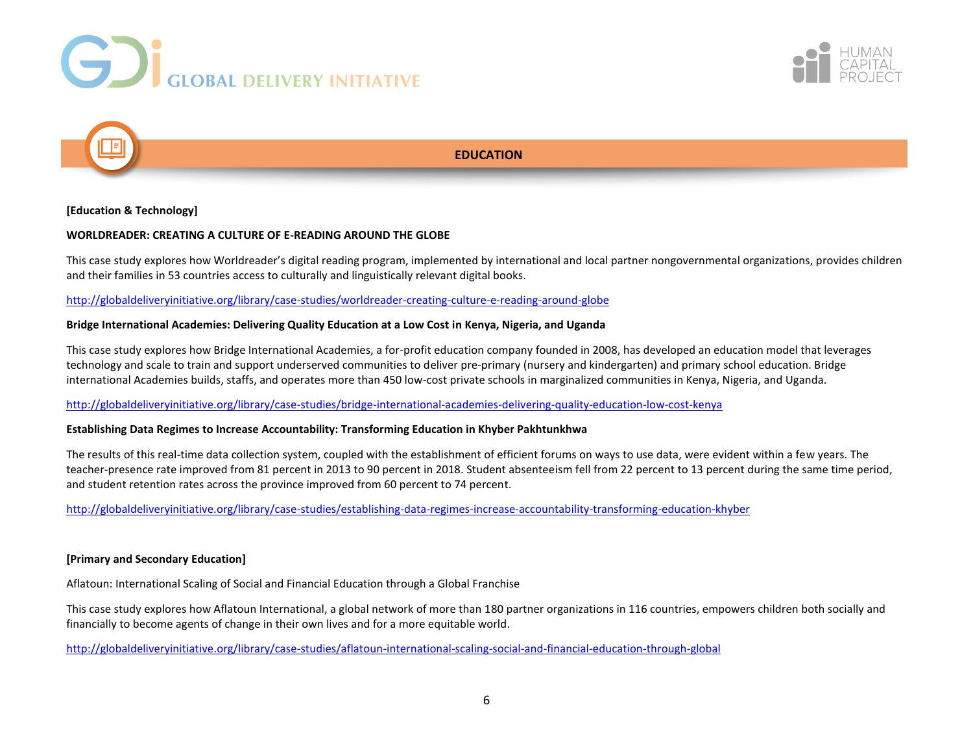





# **EDUCATION**

# **[Education & Technology]**

## **WORLDREADER: CREATING A CULTURE OF E-READING AROUND THE GLOBE**

This case study explores how Worldreader's digital reading program, implemented by international and local partner nongovernmental organizations, provides children and their families in 53 countries access to culturally and linguistically relevant digital books.

# <http://globaldeliveryinitiative.org/library/case-studies/worldreader-creating-culture-e-reading-around-globe>

## **Bridge International Academies: Delivering Quality Education at a Low Cost in Kenya, Nigeria, and Uganda**

This case study explores how Bridge International Academies, a for-profit education company founded in 2008, has developed an education model that leverages technology and scale to train and support underserved communities to deliver pre-primary (nursery and kindergarten) and primary school education. Bridge international Academies builds, staffs, and operates more than 450 low-cost private schools in marginalized communities in Kenya, Nigeria, and Uganda.

<http://globaldeliveryinitiative.org/library/case-studies/bridge-international-academies-delivering-quality-education-low-cost-kenya>

## **Establishing Data Regimes to Increase Accountability: Transforming Education in Khyber Pakhtunkhwa**

The results of this real-time data collection system, coupled with the establishment of efficient forums on ways to use data, were evident within a few years. The teacher-presence rate improved from 81 percent in 2013 to 90 percent in 2018. Student absenteeism fell from 22 percent to 13 percent during the same time period, and student retention rates across the province improved from 60 percent to 74 percent.

<http://globaldeliveryinitiative.org/library/case-studies/establishing-data-regimes-increase-accountability-transforming-education-khyber>

## **[Primary and Secondary Education]**

Aflatoun: International Scaling of Social and Financial Education through a Global Franchise

This case study explores how Aflatoun International, a global network of more than 180 partner organizations in 116 countries, empowers children both socially and financially to become agents of change in their own lives and for a more equitable world.

<http://globaldeliveryinitiative.org/library/case-studies/aflatoun-international-scaling-social-and-financial-education-through-global>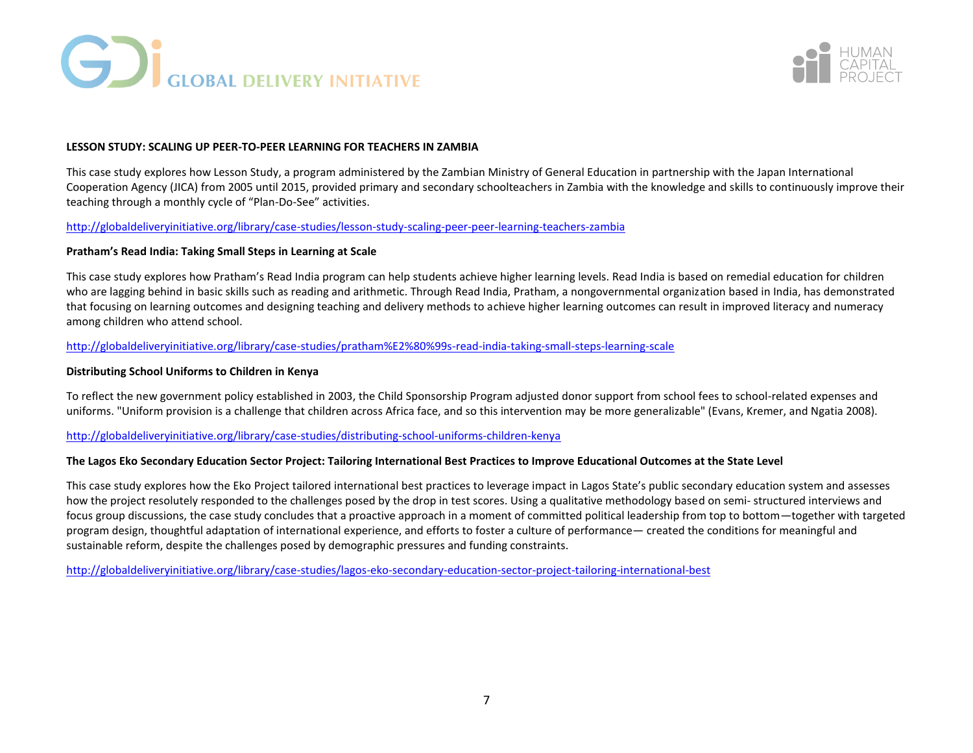



## **LESSON STUDY: SCALING UP PEER-TO-PEER LEARNING FOR TEACHERS IN ZAMBIA**

This case study explores how Lesson Study, a program administered by the Zambian Ministry of General Education in partnership with the Japan International Cooperation Agency (JICA) from 2005 until 2015, provided primary and secondary schoolteachers in Zambia with the knowledge and skills to continuously improve their teaching through a monthly cycle of "Plan-Do-See" activities.

## <http://globaldeliveryinitiative.org/library/case-studies/lesson-study-scaling-peer-peer-learning-teachers-zambia>

## **Pratham's Read India: Taking Small Steps in Learning at Scale**

This case study explores how Pratham's Read India program can help students achieve higher learning levels. Read India is based on remedial education for children who are lagging behind in basic skills such as reading and arithmetic. Through Read India, Pratham, a nongovernmental organization based in India, has demonstrated that focusing on learning outcomes and designing teaching and delivery methods to achieve higher learning outcomes can result in improved literacy and numeracy among children who attend school.

# <http://globaldeliveryinitiative.org/library/case-studies/pratham%E2%80%99s-read-india-taking-small-steps-learning-scale>

## **Distributing School Uniforms to Children in Kenya**

To reflect the new government policy established in 2003, the Child Sponsorship Program adjusted donor support from school fees to school-related expenses and uniforms. "Uniform provision is a challenge that children across Africa face, and so this intervention may be more generalizable" (Evans, Kremer, and Ngatia 2008).

<http://globaldeliveryinitiative.org/library/case-studies/distributing-school-uniforms-children-kenya>

## **The Lagos Eko Secondary Education Sector Project: Tailoring International Best Practices to Improve Educational Outcomes at the State Level**

This case study explores how the Eko Project tailored international best practices to leverage impact in Lagos State's public secondary education system and assesses how the project resolutely responded to the challenges posed by the drop in test scores. Using a qualitative methodology based on semi- structured interviews and focus group discussions, the case study concludes that a proactive approach in a moment of committed political leadership from top to bottom—together with targeted program design, thoughtful adaptation of international experience, and efforts to foster a culture of performance— created the conditions for meaningful and sustainable reform, despite the challenges posed by demographic pressures and funding constraints.

<http://globaldeliveryinitiative.org/library/case-studies/lagos-eko-secondary-education-sector-project-tailoring-international-best>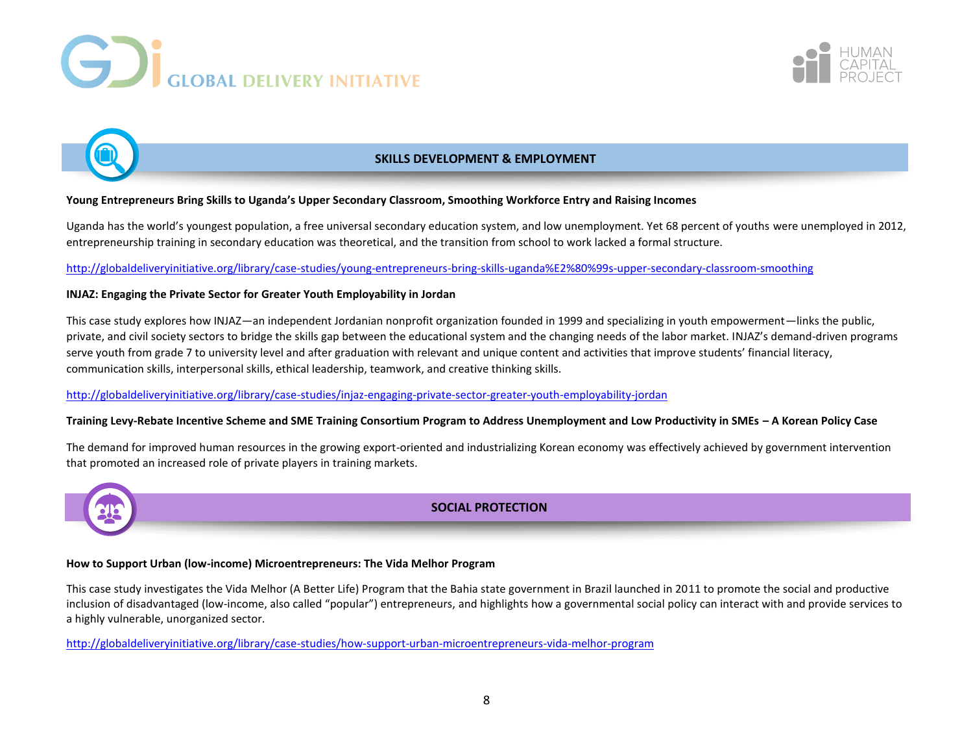





# **SKILLS DEVELOPMENT & EMPLOYMENT**

# **Young Entrepreneurs Bring Skills to Uganda's Upper Secondary Classroom, Smoothing Workforce Entry and Raising Incomes**

Uganda has the world's youngest population, a free universal secondary education system, and low unemployment. Yet 68 percent of youths were unemployed in 2012, entrepreneurship training in secondary education was theoretical, and the transition from school to work lacked a formal structure.

<http://globaldeliveryinitiative.org/library/case-studies/young-entrepreneurs-bring-skills-uganda%E2%80%99s-upper-secondary-classroom-smoothing>

# **INJAZ: Engaging the Private Sector for Greater Youth Employability in Jordan**

This case study explores how INJAZ—an independent Jordanian nonprofit organization founded in 1999 and specializing in youth empowerment—links the public, private, and civil society sectors to bridge the skills gap between the educational system and the changing needs of the labor market. INJAZ's demand-driven programs serve youth from grade 7 to university level and after graduation with relevant and unique content and activities that improve students' financial literacy, communication skills, interpersonal skills, ethical leadership, teamwork, and creative thinking skills.

<http://globaldeliveryinitiative.org/library/case-studies/injaz-engaging-private-sector-greater-youth-employability-jordan>

# **Training Levy-Rebate Incentive Scheme and SME Training Consortium Program to Address Unemployment and Low Productivity in SMEs – A Korean Policy Case**

The demand for improved human resources in the growing export-oriented and industrializing Korean economy was effectively achieved by government intervention that promoted an increased role of private players in training markets.



# **SOCIAL PROTECTION**

# **How to Support Urban (low-income) Microentrepreneurs: The Vida Melhor Program**

This case study investigates the Vida Melhor (A Better Life) Program that the Bahia state government in Brazil launched in 2011 to promote the social and productive inclusion of disadvantaged (low-income, also called "popular") entrepreneurs, and highlights how a governmental social policy can interact with and provide services to a highly vulnerable, unorganized sector.

<http://globaldeliveryinitiative.org/library/case-studies/how-support-urban-microentrepreneurs-vida-melhor-program>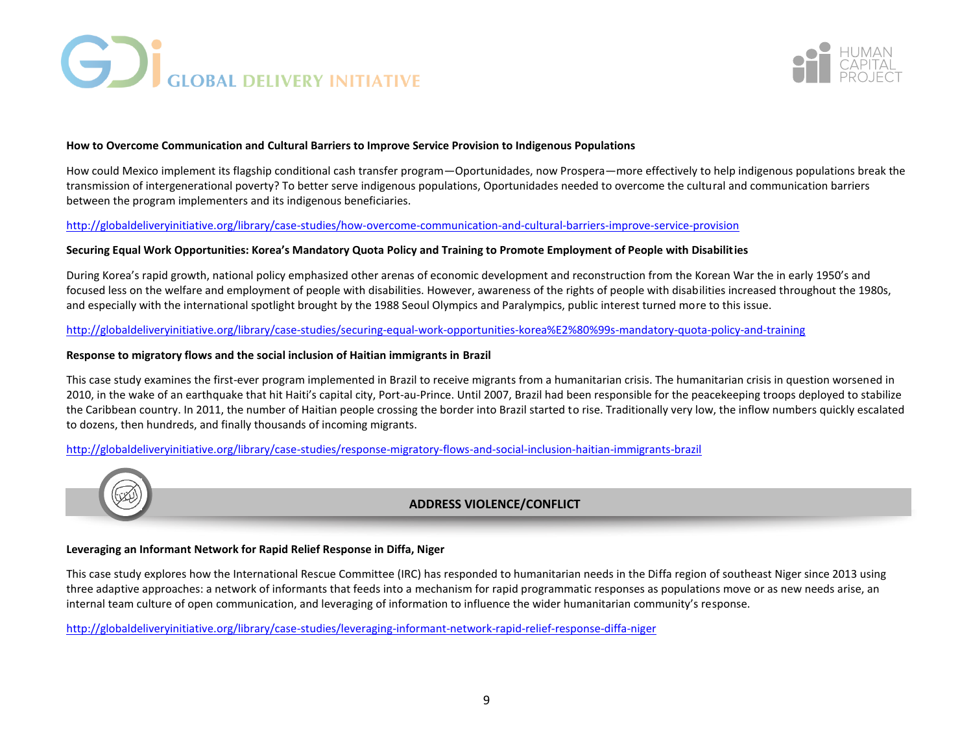



## **How to Overcome Communication and Cultural Barriers to Improve Service Provision to Indigenous Populations**

How could Mexico implement its flagship conditional cash transfer program—Oportunidades, now Prospera—more effectively to help indigenous populations break the transmission of intergenerational poverty? To better serve indigenous populations, Oportunidades needed to overcome the cultural and communication barriers between the program implementers and its indigenous beneficiaries.

## <http://globaldeliveryinitiative.org/library/case-studies/how-overcome-communication-and-cultural-barriers-improve-service-provision>

## **Securing Equal Work Opportunities: Korea's Mandatory Quota Policy and Training to Promote Employment of People with Disabilities**

During Korea's rapid growth, national policy emphasized other arenas of economic development and reconstruction from the Korean War the in early 1950's and focused less on the welfare and employment of people with disabilities. However, awareness of the rights of people with disabilities increased throughout the 1980s, and especially with the international spotlight brought by the 1988 Seoul Olympics and Paralympics, public interest turned more to this issue.

## <http://globaldeliveryinitiative.org/library/case-studies/securing-equal-work-opportunities-korea%E2%80%99s-mandatory-quota-policy-and-training>

## **Response to migratory flows and the social inclusion of Haitian immigrants in Brazil**

This case study examines the first-ever program implemented in Brazil to receive migrants from a humanitarian crisis. The humanitarian crisis in question worsened in 2010, in the wake of an earthquake that hit Haiti's capital city, Port-au-Prince. Until 2007, Brazil had been responsible for the peacekeeping troops deployed to stabilize the Caribbean country. In 2011, the number of Haitian people crossing the border into Brazil started to rise. Traditionally very low, the inflow numbers quickly escalated to dozens, then hundreds, and finally thousands of incoming migrants.

<http://globaldeliveryinitiative.org/library/case-studies/response-migratory-flows-and-social-inclusion-haitian-immigrants-brazil>



# **ADDRESS VIOLENCE/CONFLICT**

## **Leveraging an Informant Network for Rapid Relief Response in Diffa, Niger**

This case study explores how the International Rescue Committee (IRC) has responded to humanitarian needs in the Diffa region of southeast Niger since 2013 using three adaptive approaches: a network of informants that feeds into a mechanism for rapid programmatic responses as populations move or as new needs arise, an internal team culture of open communication, and leveraging of information to influence the wider humanitarian community's response.

<http://globaldeliveryinitiative.org/library/case-studies/leveraging-informant-network-rapid-relief-response-diffa-niger>